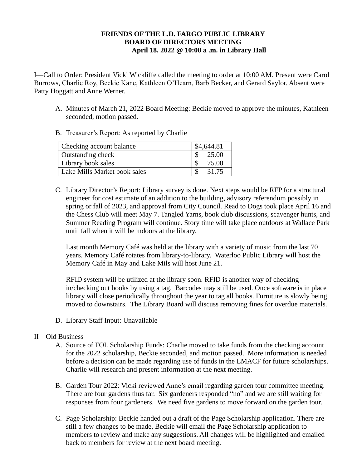## **FRIENDS OF THE L.D. FARGO PUBLIC LIBRARY BOARD OF DIRECTORS MEETING April 18, 2022 @ 10:00 a .m. in Library Hall**

I—Call to Order: President Vicki Wickliffe called the meeting to order at 10:00 AM. Present were Carol Burrows, Charlie Roy, Beckie Kane, Kathleen O'Hearn, Barb Becker, and Gerard Saylor. Absent were Patty Hoggatt and Anne Werner.

- A. Minutes of March 21, 2022 Board Meeting: Beckie moved to approve the minutes, Kathleen seconded, motion passed.
- B. Treasurer's Report: As reported by Charlie

| Checking account balance     | \$4,644.81 |
|------------------------------|------------|
| Outstanding check            | 25.00      |
| Library book sales           | 75.00      |
| Lake Mills Market book sales | 31.75      |

C. Library Director's Report: Library survey is done. Next steps would be RFP for a structural engineer for cost estimate of an addition to the building, advisory referendum possibly in spring or fall of 2023, and approval from City Council. Read to Dogs took place April 16 and the Chess Club will meet May 7. Tangled Yarns, book club discussions, scavenger hunts, and Summer Reading Program will continue. Story time will take place outdoors at Wallace Park until fall when it will be indoors at the library.

Last month Memory Café was held at the library with a variety of music from the last 70 years. Memory Café rotates from library-to-library. Waterloo Public Library will host the Memory Café in May and Lake Mils will host June 21.

RFID system will be utilized at the library soon. RFID is another way of checking in/checking out books by using a tag. Barcodes may still be used. Once software is in place library will close periodically throughout the year to tag all books. Furniture is slowly being moved to downstairs. The Library Board will discuss removing fines for overdue materials.

D. Library Staff Input: Unavailable

## II—Old Business

- A. Source of FOL Scholarship Funds: Charlie moved to take funds from the checking account for the 2022 scholarship, Beckie seconded, and motion passed. More information is needed before a decision can be made regarding use of funds in the LMACF for future scholarships. Charlie will research and present information at the next meeting.
- B. Garden Tour 2022: Vicki reviewed Anne's email regarding garden tour committee meeting. There are four gardens thus far. Six gardeners responded "no" and we are still waiting for responses from four gardeners. We need five gardens to move forward on the garden tour.
- C. Page Scholarship: Beckie handed out a draft of the Page Scholarship application. There are still a few changes to be made, Beckie will email the Page Scholarship application to members to review and make any suggestions. All changes will be highlighted and emailed back to members for review at the next board meeting.